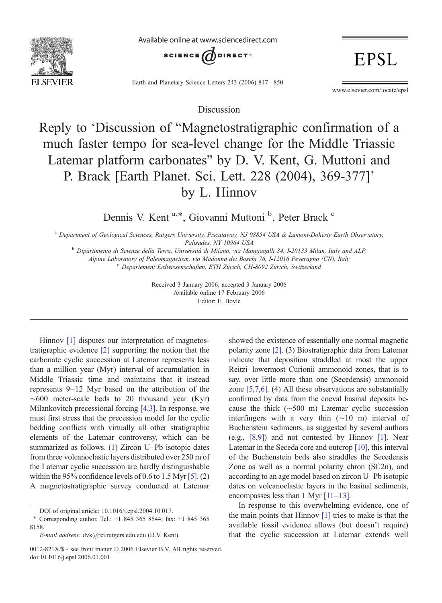

Available online at www.sciencedirect.com



Earth and Planetary Science Letters 243 (2006) 847–850

www.elsevier.com/locate/epsl

**EPSL** 

Discussion

## Reply to 'Discussion of "Magnetostratigraphic confirmation of a much faster tempo for sea-level change for the Middle Triassic Latemar platform carbonates" by D. V. Kent, G. Muttoni and P. Brack [Earth Planet. Sci. Lett. 228 (2004), 369-377]' by L. Hinnov

Dennis V. Kent<sup>a,\*</sup>, Giovanni Muttoni<sup>b</sup>, Peter Brack<sup>c</sup>

a Department of Geological Sciences, Rutgers University, Piscataway, NJ 08854 USA & Lamont-Doherty Earth Observatory,

Palisades, NY 10964 USA <sup>b</sup> Dipartimento di Scienze della Terra, Università di Milano, via Mangiagalli 34, I-20133 Milan, Italy and ALP,

Alpine Laboratory of Paleomagnetism, via Madonna dei Boschi 76, I-12016 Peveragno (CN), Italy<br><sup>c</sup> Departement Erdwissenschaften, ETH Zürich, CH-8092 Zürich, Switzerland

Received 3 January 2006; accepted 3 January 2006 Available online 17 February 2006 Editor: E. Boyle

Hinnov [\[1\]](#page-2-0) disputes our interpretation of magnetostratigraphic evidence [\[2\]](#page-2-0) supporting the notion that the carbonate cyclic succession at Latemar represents less than a million year (Myr) interval of accumulation in Middle Triassic time and maintains that it instead represents 9–12 Myr based on the attribution of the ∼600 meter-scale beds to 20 thousand year (Kyr) Milankovitch precessional forcing [\[4,3\]](#page-2-0). In response, we must first stress that the precession model for the cyclic bedding conflicts with virtually all other stratigraphic elements of the Latemar controversy, which can be summarized as follows. (1) Zircon U–Pb isotopic dates from three volcanoclastic layers distributed over 250 m of the Latemar cyclic succession are hardly distinguishable within the 95% confidence levels of 0.6 to 1.5 Myr [\[5\].](#page-2-0) (2) A magnetostratigraphic survey conducted at Latemar

showed the existence of essentially one normal magnetic polarity zone [\[2\].](#page-2-0) (3) Biostratigraphic data from Latemar indicate that deposition straddled at most the upper Reitzi–lowermost Curionii ammonoid zones, that is to say, over little more than one (Secedensis) ammonoid zone [\[5,7,6\]](#page-2-0). (4) All these observations are substantially confirmed by data from the coeval basinal deposits because the thick (∼500 m) Latemar cyclic succession interfingers with a very thin (∼10 m) interval of Buchenstein sediments, as suggested by several authors (e.g., [\[8,9\]\)](#page-2-0) and not contested by Hinnov [\[1\]](#page-2-0). Near Latemar in the Seceda core and outcrop [\[10\],](#page-2-0) this interval of the Buchenstein beds also straddles the Secedensis Zone as well as a normal polarity chron (SC2n), and according to an age model based on zircon U–Pb isotopic dates on volcanoclastic layers in the basinal sediments, encompasses less than 1 Myr [11–[13\]](#page-2-0).

In response to this overwhelming evidence, one of the main points that Hinnov [\[1\]](#page-2-0) tries to make is that the available fossil evidence allows (but doesn't require) that the cyclic succession at Latemar extends well

DOI of original article: 10.1016/j.epsl.2004.10.017.

<sup>⁎</sup> Corresponding author. Tel.: +1 845 365 8544; fax: +1 845 365 8158.

E-mail address: dvk@rci.rutgers.edu.edu (D.V. Kent).

<sup>0012-821</sup>X/\$ - see front matter © 2006 Elsevier B.V. All rights reserved. doi:10.1016/j.epsl.2006.01.001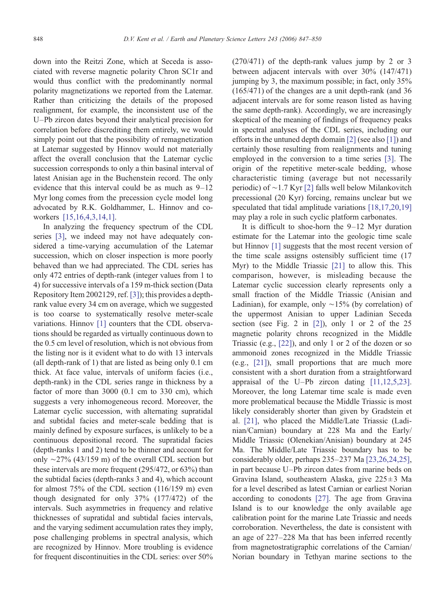down into the Reitzi Zone, which at Seceda is associated with reverse magnetic polarity Chron SC1r and would thus conflict with the predominantly normal polarity magnetizations we reported from the Latemar. Rather than criticizing the details of the proposed realignment, for example, the inconsistent use of the U–Pb zircon dates beyond their analytical precision for correlation before discrediting them entirely, we would simply point out that the possibility of remagnetization at Latemar suggested by Hinnov would not materially affect the overall conclusion that the Latemar cyclic succession corresponds to only a thin basinal interval of latest Anisian age in the Buchenstein record. The only evidence that this interval could be as much as 9–12 Myr long comes from the precession cycle model long advocated by R.K. Goldhammer, L. Hinnov and coworkers [\[15,16,4,3,14,1\]](#page-2-0).

In analyzing the frequency spectrum of the CDL series [\[3\],](#page-2-0) we indeed may not have adequately considered a time-varying accumulation of the Latemar succession, which on closer inspection is more poorly behaved than we had appreciated. The CDL series has only 472 entries of depth-rank (integer values from 1 to 4) for successive intervals of a 159 m-thick section (Data Repository Item 2002129, ref. [\[3\]\)](#page-2-0); this provides a depthrank value every 34 cm on average, which we suggested is too coarse to systematically resolve meter-scale variations. Hinnov [\[1\]](#page-2-0) counters that the CDL observations should be regarded as virtually continuous down to the 0.5 cm level of resolution, which is not obvious from the listing nor is it evident what to do with 13 intervals (all depth-rank of 1) that are listed as being only 0.1 cm thick. At face value, intervals of uniform facies (i.e., depth-rank) in the CDL series range in thickness by a factor of more than 3000 (0.1 cm to 330 cm), which suggests a very inhomogeneous record. Moreover, the Latemar cyclic succession, with alternating supratidal and subtidal facies and meter-scale bedding that is mainly defined by exposure surfaces, is unlikely to be a continuous depositional record. The supratidal facies (depth-ranks 1 and 2) tend to be thinner and account for only ∼27% (43/159 m) of the overall CDL section but these intervals are more frequent (295/472, or 63%) than the subtidal facies (depth-ranks 3 and 4), which account for almost 75% of the CDL section (116/159 m) even though designated for only 37% (177/472) of the intervals. Such asymmetries in frequency and relative thicknesses of supratidal and subtidal facies intervals, and the varying sediment accumulation rates they imply, pose challenging problems in spectral analysis, which are recognized by Hinnov. More troubling is evidence for frequent discontinuities in the CDL series: over 50%

(270/471) of the depth-rank values jump by 2 or 3 between adjacent intervals with over 30% (147/471) jumping by 3, the maximum possible; in fact, only 35% (165/471) of the changes are a unit depth-rank (and 36 adjacent intervals are for some reason listed as having the same depth-rank). Accordingly, we are increasingly skeptical of the meaning of findings of frequency peaks in spectral analyses of the CDL series, including our efforts in the untuned depth domain [\[2\]](#page-2-0) (see also [\[1\]\)](#page-2-0) and certainly those resulting from realignments and tuning employed in the conversion to a time series [\[3\]](#page-2-0). The origin of the repetitive meter-scale bedding, whose characteristic timing (average but not necessarily periodic) of ∼1.7 Kyr [\[2\]](#page-2-0) falls well below Milankovitch precessional (20 Kyr) forcing, remains unclear but we speculated that tidal amplitude variations [\[18,17,20,19\]](#page-2-0) may play a role in such cyclic platform carbonates.

It is difficult to shoe-horn the 9–12 Myr duration estimate for the Latemar into the geologic time scale but Hinnov [\[1\]](#page-2-0) suggests that the most recent version of the time scale assigns ostensibly sufficient time (17 Myr) to the Middle Triassic [\[21\]](#page-3-0) to allow this. This comparison, however, is misleading because the Latemar cyclic succession clearly represents only a small fraction of the Middle Triassic (Anisian and Ladinian), for example, only ∼15% (by correlation) of the uppermost Anisian to upper Ladinian Seceda section (see Fig. 2 in  $[2]$ ), only 1 or 2 of the 25 magnetic polarity chrons recognized in the Middle Triassic (e.g., [\[22\]\)](#page-3-0), and only 1 or 2 of the dozen or so ammonoid zones recognized in the Middle Triassic (e.g., [\[21\]\)](#page-3-0), small proportions that are much more consistent with a short duration from a straightforward appraisal of the U–Pb zircon dating [\[11,12,5,23\].](#page-2-0) Moreover, the long Latemar time scale is made even more problematical because the Middle Triassic is most likely considerably shorter than given by Gradstein et al. [\[21\]](#page-3-0), who placed the Middle/Late Triassic (Ladinian/Carnian) boundary at 228 Ma and the Early/ Middle Triassic (Olenekian/Anisian) boundary at 245 Ma. The Middle/Late Triassic boundary has to be considerably older, perhaps 235–237 Ma [\[23,26,24,25\],](#page-3-0) in part because U–Pb zircon dates from marine beds on Gravina Island, southeastern Alaska, give  $225 \pm 3$  Ma for a level described as latest Carnian or earliest Norian according to conodonts [\[27\]](#page-3-0). The age from Gravina Island is to our knowledge the only available age calibration point for the marine Late Triassic and needs corroboration. Nevertheless, the date is consistent with an age of 227–228 Ma that has been inferred recently from magnetostratigraphic correlations of the Carnian/ Norian boundary in Tethyan marine sections to the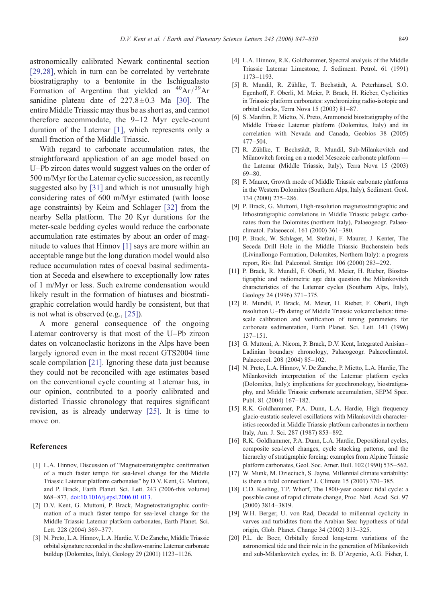<span id="page-2-0"></span>astronomically calibrated Newark continental section [\[29,28\],](#page-3-0) which in turn can be correlated by vertebrate biostratigraphy to a bentonite in the Ischigualasto Formation of Argentina that yielded an  ${}^{40}Ar/{}^{39}Ar$ sanidine plateau date of  $227.8 \pm 0.3$  Ma [\[30\].](#page-3-0) The entire Middle Triassic may thus be as short as, and cannot therefore accommodate, the 9–12 Myr cycle-count duration of the Latemar [1], which represents only a small fraction of the Middle Triassic.

With regard to carbonate accumulation rates, the straightforward application of an age model based on U–Pb zircon dates would suggest values on the order of 500 m/Myr for the Latemar cyclic succession, as recently suggested also by [\[31\]](#page-3-0) and which is not unusually high considering rates of 600 m/Myr estimated (with loose age constraints) by Keim and Schlager [\[32\]](#page-3-0) from the nearby Sella platform. The 20 Kyr durations for the meter-scale bedding cycles would reduce the carbonate accumulation rate estimates by about an order of magnitude to values that Hinnov [1] says are more within an acceptable range but the long duration model would also reduce accumulation rates of coeval basinal sedimentation at Seceda and elsewhere to exceptionally low rates of 1 m/Myr or less. Such extreme condensation would likely result in the formation of hiatuses and biostratigraphic correlation would hardly be consistent, but that is not what is observed (e.g., [\[25\]](#page-3-0)).

A more general consequence of the ongoing Latemar controversy is that most of the U–Pb zircon dates on volcanoclastic horizons in the Alps have been largely ignored even in the most recent GTS2004 time scale compilation [\[21\].](#page-3-0) Ignoring these data just because they could not be reconciled with age estimates based on the conventional cycle counting at Latemar has, in our opinion, contributed to a poorly calibrated and distorted Triassic chronology that requires significant revision, as is already underway [\[25\].](#page-3-0) It is time to move on.

## **References**

- [1] L.A. Hinnov, Discussion of "Magnetostratigraphic confirmation of a much faster tempo for sea-level change for the Middle Triassic Latemar platform carbonates" by D.V. Kent, G. Muttoni, and P. Brack, Earth Planet. Sci. Lett. 243 (2006-this volume) 868–873, [doi:10.1016/j.epsl.2006.01.013.](http://dx.doi.org/doi:10.1016/j.epsl.2006.01.013)
- [2] D.V. Kent, G. Muttoni, P. Brack, Magnetostratigraphic confirmation of a much faster tempo for sea-level change for the Middle Triassic Latemar platform carbonates, Earth Planet. Sci. Lett. 228 (2004) 369–377.
- [3] N. Preto, L.A. Hinnov, L.A. Hardie, V. De Zanche, Middle Triassic orbital signature recorded in the shallow-marine Latemar carbonate buildup (Dolomites, Italy), Geology 29 (2001) 1123–1126.
- [4] L.A. Hinnov, R.K. Goldhammer, Spectral analysis of the Middle Triassic Latemar Limestone, J. Sediment. Petrol. 61 (1991) 1173–1193.
- [5] R. Mundil, R. Zühlke, T. Bechstädt, A. Peterhänsel, S.O. Egenhoff, F. Oberli, M. Meier, P. Brack, H. Rieber, Cyclicities in Triassic platform carbonates: synchronizing radio-isotopic and orbital clocks, Terra Nova 15 (2003) 81–87.
- [6] S. Manfrin, P. Mietto, N. Preto, Ammonoid biostratigraphy of the Middle Triassic Latemar platform (Dolomites, Italy) and its correlation with Nevada and Canada, Geobios 38 (2005) 477–504.
- [7] R. Zühlke, T. Bechstädt, R. Mundil, Sub-Milankovitch and Milanovitch forcing on a model Mesozoic carbonate platform the Latemar (Middle Triassic, Italy), Terra Nova 15 (2003) 69–80.
- [8] F. Maurer, Growth mode of Middle Triassic carbonate platforms in the Western Dolomites (Southern Alps, Italy), Sediment. Geol. 134 (2000) 275–286.
- [9] P. Brack, G. Muttoni, High-resolution magnetostratigraphic and lithostratigraphic correlations in Middle Triassic pelagic carbonates from the Dolomites (northern Italy), Palaeogeogr. Palaeoclimatol. Palaeoecol. 161 (2000) 361–380.
- [10] P. Brack, W. Schlager, M. Stefani, F. Maurer, J. Kenter, The Seceda Drill Hole in the Middle Triassic Buchenstein beds (Livinallongo Formation, Dolomites, Northern Italy): a progress report, Riv. Ital. Paleontol. Stratigr. 106 (2000) 283–292.
- [11] P. Brack, R. Mundil, F. Oberli, M. Meier, H. Rieber, Biostratigraphic and radiometric age data question the Milankovitch characteristics of the Latemar cycles (Southern Alps, Italy), Geology 24 (1996) 371–375.
- [12] R. Mundil, P. Brack, M. Meier, H. Rieber, F. Oberli, High resolution U–Pb dating of Middle Triassic volcaniclastics: timescale calibration and verification of tuning parameters for carbonate sedimentation, Earth Planet. Sci. Lett. 141 (1996) 137–151.
- [13] G. Muttoni, A. Nicora, P. Brack, D.V. Kent, Integrated Anisian– Ladinian boundary chronology, Palaeogeogr. Palaeoclimatol. Palaeoecol. 208 (2004) 85–102.
- [14] N. Preto, L.A. Hinnov, V. De Zanche, P. Mietto, L.A. Hardie, The Milankovitch interpretation of the Latemar platform cycles (Dolomites, Italy): implications for geochronology, biostratigraphy, and Middle Triassic carbonate accumulation, SEPM Spec. Publ. 81 (2004) 167–182.
- [15] R.K. Goldhammer, P.A. Dunn, L.A. Hardie, High frequency glacio-eustatic sealevel oscillations with Milankovitch characteristics recorded in Middle Triassic platform carbonates in northern Italy, Am. J. Sci. 287 (1987) 853–892.
- [16] R.K. Goldhammer, P.A. Dunn, L.A. Hardie, Depositional cycles, composite sea-level changes, cycle stacking patterns, and the hierarchy of stratigraphic forcing: examples from Alpine Triassic platform carbonates, Geol. Soc. Amer. Bull. 102 (1990) 535–562.
- [17] W. Munk, M. Dzieciuch, S. Jayne, Millennial climate variability: is there a tidal connection? J. Climate 15 (2001) 370–385.
- [18] C.D. Keeling, T.P. Whorf, The 1800-year oceanic tidal cycle: a possible cause of rapid climate change, Proc. Natl. Acad. Sci. 97 (2000) 3814–3819.
- [19] W.H. Berger, U. von Rad, Decadal to millennial cyclicity in varves and turbidites from the Arabian Sea: hypothesis of tidal origin, Glob. Planet. Change 34 (2002) 313–325.
- [20] P.L. de Boer, Orbitally forced long-term variations of the astronomical tide and their role in the generation of Milankovitch and sub-Milankovitch cycles, in: B. D'Argenio, A.G. Fisher, I.